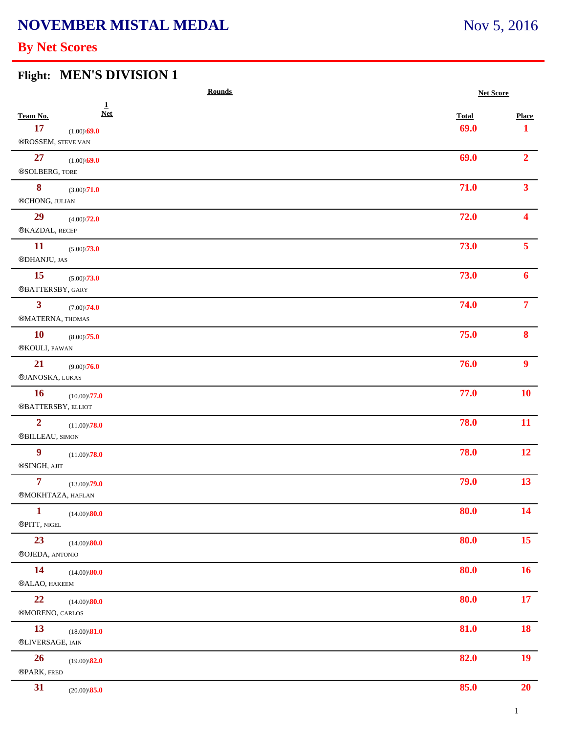## **NOVEMBER MISTAL MEDAL**

# **By Net Scores**

# **Flight: MEN'S DIVISION 1**

|                                               |                            | <b>Rounds</b> |              | <b>Net Score</b> |  |
|-----------------------------------------------|----------------------------|---------------|--------------|------------------|--|
| Team No.                                      | $\mathbf{1}$<br><b>Net</b> |               | <b>Total</b> | <b>Place</b>     |  |
| 17<br>$\circledR{\mathtt{OSSEM}}$ , STEVE VAN | $(1.00)\$ 69.0             |               | 69.0         | 1                |  |
| 27<br>®SOLBERG, TORE                          | $(1.00)\$ 69.0             |               | 69.0         | 2 <sup>1</sup>   |  |
| 8<br>®CHONG, JULIAN                           | $(3.00)\sqrt{71.0}$        |               | 71.0         | 3 <sup>1</sup>   |  |
| 29<br>®KAZDAL, RECEP                          | $(4.00)\sqrt{72.0}$        |               | 72.0         | $\blacktriangle$ |  |
| <b>11</b><br>®DHANJU, JAS                     | $(5.00)\sqrt{73.0}$        |               | 73.0         | 5 <sup>1</sup>   |  |
| <b>15</b><br>®BATTERSBY, GARY                 | $(5.00)\sqrt{73.0}$        |               | 73.0         | 6                |  |
| 3 <sup>1</sup><br>®MATERNA, THOMAS            | $(7.00)\sqrt{74.0}$        |               | 74.0         | $\overline{7}$   |  |
| <b>10</b><br>®KOULI, PAWAN                    | $(8.00)\sqrt{75.0}$        |               | 75.0         | 8 <sup>1</sup>   |  |
| 21<br>®JANOSKA, LUKAS                         | $(9.00)\sqrt{76.0}$        |               | 76.0         | 9 <sup>°</sup>   |  |
| <b>16</b><br>®BATTERSBY, ELLIOT               | $(10.00)\sqrt{77.0}$       |               | 77.0         | <b>10</b>        |  |
| $\overline{\mathbf{2}}$<br>®BILLEAU, SIMON    | $(11.00)\sqrt{78.0}$       |               | 78.0         | 11               |  |
| $\boldsymbol{9}$<br>®SINGH, AJIT              | $(11.00)\sqrt{78.0}$       |               | 78.0         | 12               |  |
| $\overline{7}$<br>®MOKHTAZA, HAFLAN           | $(13.00)\sqrt{79.0}$       |               | 79.0         | 13               |  |
| $\mathbf{1}$<br>®PITT, NIGEL                  | $(14.00)\$ <b>80.0</b>     |               | 80.0         | 14               |  |
| 23<br>®OJEDA, ANTONIO                         | $(14.00)\$ <b>80.0</b>     |               | 80.0         | 15 <sup>7</sup>  |  |
| <b>14</b><br>®ALAO, HAKEEM                    | $(14.00)\$ <b>80.0</b>     |               | 80.0         | 16 <sup>2</sup>  |  |
| 22<br>®MORENO, CARLOS                         | $(14.00)\$ <b>80.0</b>     |               | 80.0         | 17               |  |
| 13<br>®LIVERSAGE, IAIN                        | $(18.00)\$ <sup>81.0</sup> |               | 81.0         | 18               |  |
| 26<br>®PARK, FRED                             | $(19.00)\$ <sup>82.0</sup> |               | 82.0         | 19               |  |
| 31                                            | $(20.00)\$ <sup>85.0</sup> |               | 85.0         | 20               |  |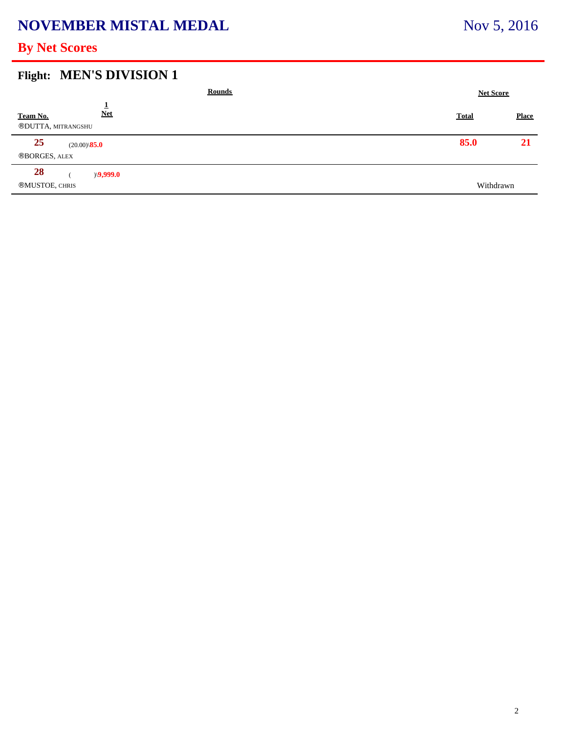## **NOVEMBER MISTAL MEDAL**

## **By Net Scores**

#### **Flight: MEN'S DIVISION 1**

| <b>Rounds</b>                                 | <b>Net Score</b> |              |
|-----------------------------------------------|------------------|--------------|
| <b>Net</b><br>Team No.<br>®DUTTA, MITRANGSHU  | <b>Total</b>     | <b>Place</b> |
| 25<br>$(20.00)\$ <b>85.0</b><br>®BORGES, ALEX | 85.0             | 21           |
| 28<br>$\angle 9,999.0$<br>®MUSTOE, CHRIS      | Withdrawn        |              |